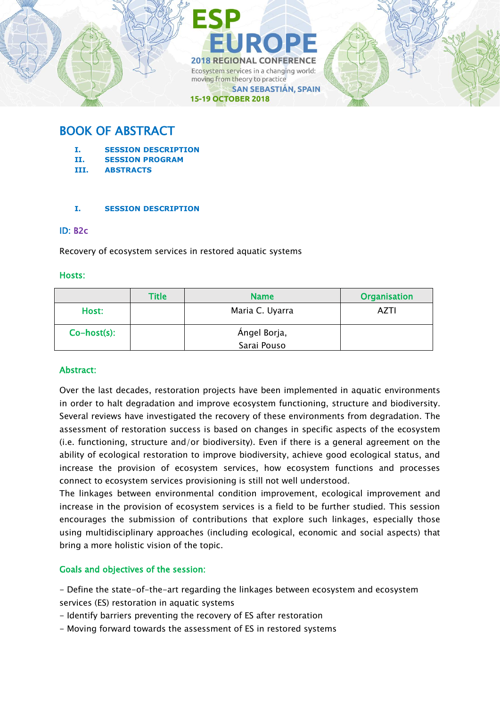

# BOOK OF ABSTRACT

- **I. SESSION DESCRIPTION**
- **II. SESSION PROGRAM**
- **III. ABSTRACTS**

### **I. SESSION DESCRIPTION**

### ID: B2c

Recovery of ecosystem services in restored aquatic systems

### Hosts:

|                | <b>Title</b> | <b>Name</b>     | <b>Organisation</b> |
|----------------|--------------|-----------------|---------------------|
| Host:          |              | Maria C. Uyarra | AZTI                |
| $Co-host(s)$ : |              | Ángel Borja,    |                     |
|                |              | Sarai Pouso     |                     |

## Abstract:

Over the last decades, restoration projects have been implemented in aquatic environments in order to halt degradation and improve ecosystem functioning, structure and biodiversity. Several reviews have investigated the recovery of these environments from degradation. The assessment of restoration success is based on changes in specific aspects of the ecosystem (i.e. functioning, structure and/or biodiversity). Even if there is a general agreement on the ability of ecological restoration to improve biodiversity, achieve good ecological status, and increase the provision of ecosystem services, how ecosystem functions and processes connect to ecosystem services provisioning is still not well understood.

The linkages between environmental condition improvement, ecological improvement and increase in the provision of ecosystem services is a field to be further studied. This session encourages the submission of contributions that explore such linkages, especially those using multidisciplinary approaches (including ecological, economic and social aspects) that bring a more holistic vision of the topic.

### Goals and objectives of the session:

- Define the state-of-the-art regarding the linkages between ecosystem and ecosystem
- services (ES) restoration in aquatic systems
- Identify barriers preventing the recovery of ES after restoration
- Moving forward towards the assessment of ES in restored systems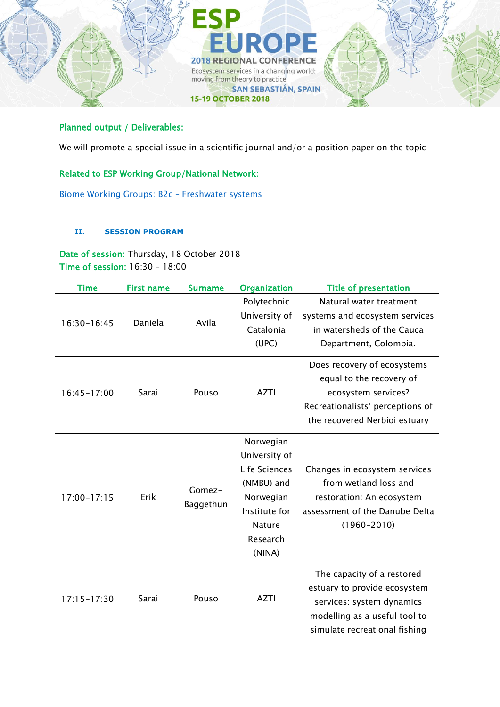

## Planned output / Deliverables:

We will promote a special issue in a scientific journal and/or a position paper on the topic

## Related to ESP Working Group/National Network:

[Biome Working Groups: B2c](https://www.es-partnership.org/community/workings-groups/biome-working-groups/bwg-2-freshwater-systems/) – Freshwater systems

### **II. SESSION PROGRAM**

Date of session: Thursday, 18 October 2018 Time of session: 16:30 – 18:00

| <b>Time</b>     | <b>First name</b> | <b>Surname</b>      | <b>Organization</b>                                                                                                            | <b>Title of presentation</b>                                                                                                                              |
|-----------------|-------------------|---------------------|--------------------------------------------------------------------------------------------------------------------------------|-----------------------------------------------------------------------------------------------------------------------------------------------------------|
| 16:30-16:45     | Daniela           | Avila               | Polytechnic<br>University of<br>Catalonia<br>(UPC)                                                                             | Natural water treatment<br>systems and ecosystem services<br>in watersheds of the Cauca<br>Department, Colombia.                                          |
| $16:45 - 17:00$ | Sarai             | Pouso               | <b>AZTI</b>                                                                                                                    | Does recovery of ecosystems<br>equal to the recovery of<br>ecosystem services?<br>Recreationalists' perceptions of<br>the recovered Nerbioi estuary       |
| $17:00 - 17:15$ | Erik              | Gomez-<br>Baggethun | Norwegian<br>University of<br>Life Sciences<br>(NMBU) and<br>Norwegian<br>Institute for<br><b>Nature</b><br>Research<br>(NINA) | Changes in ecosystem services<br>from wetland loss and<br>restoration: An ecosystem<br>assessment of the Danube Delta<br>$(1960 - 2010)$                  |
| $17:15 - 17:30$ | Sarai             | Pouso               | <b>AZTI</b>                                                                                                                    | The capacity of a restored<br>estuary to provide ecosystem<br>services: system dynamics<br>modelling as a useful tool to<br>simulate recreational fishing |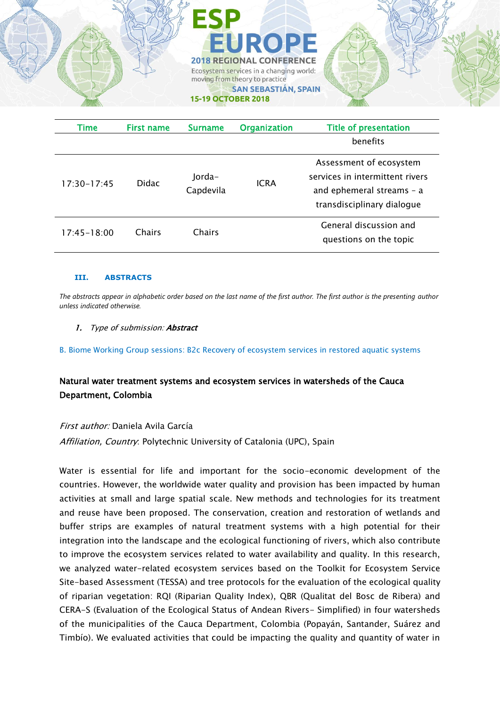

| Time            | <b>First name</b> | <b>Surname</b>      | <b>Organization</b> | <b>Title of presentation</b>                                                                                          |
|-----------------|-------------------|---------------------|---------------------|-----------------------------------------------------------------------------------------------------------------------|
|                 |                   |                     |                     | benefits                                                                                                              |
| $17:30 - 17:45$ | <b>Didac</b>      | Jorda-<br>Capdevila | <b>ICRA</b>         | Assessment of ecosystem<br>services in intermittent rivers<br>and ephemeral streams - a<br>transdisciplinary dialogue |
| $17:45 - 18:00$ | Chairs            | Chairs              |                     | General discussion and<br>questions on the topic                                                                      |

#### **III. ABSTRACTS**

*The abstracts appear in alphabetic order based on the last name of the first author. The first author is the presenting author unless indicated otherwise.*

#### 1. Type of submission: Abstract

B. Biome Working Group sessions: B2c Recovery of ecosystem services in restored aquatic systems

## Natural water treatment systems and ecosystem services in watersheds of the Cauca Department, Colombia

#### First author: Daniela Avila García

Affiliation, Country. Polytechnic University of Catalonia (UPC), Spain

Water is essential for life and important for the socio-economic development of the countries. However, the worldwide water quality and provision has been impacted by human activities at small and large spatial scale. New methods and technologies for its treatment and reuse have been proposed. The conservation, creation and restoration of wetlands and buffer strips are examples of natural treatment systems with a high potential for their integration into the landscape and the ecological functioning of rivers, which also contribute to improve the ecosystem services related to water availability and quality. In this research, we analyzed water-related ecosystem services based on the Toolkit for Ecosystem Service Site-based Assessment (TESSA) and tree protocols for the evaluation of the ecological quality of riparian vegetation: RQI (Riparian Quality Index), QBR (Qualitat del Bosc de Ribera) and CERA-S (Evaluation of the Ecological Status of Andean Rivers- Simplified) in four watersheds of the municipalities of the Cauca Department, Colombia (Popayán, Santander, Suárez and Timbío). We evaluated activities that could be impacting the quality and quantity of water in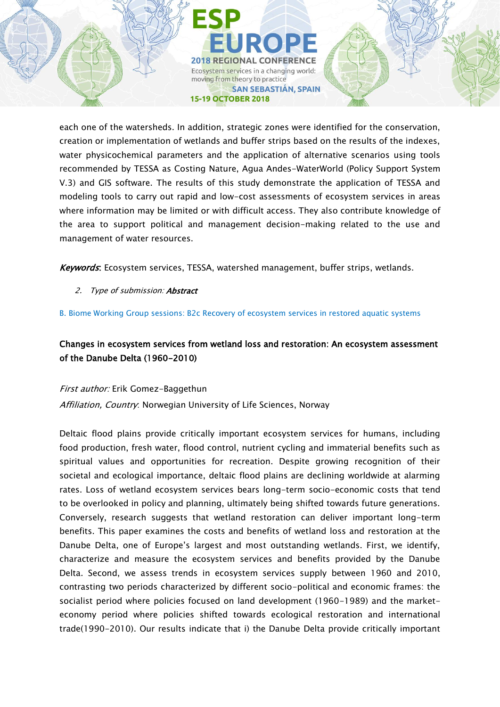**2018 REGIONAL CONFERENCE** Ecosystem services in a changing world: moving from theory to practice **SAN SEBASTIÁN, SPAIN 15-19 OCTOBER 2018** 

each one of the watersheds. In addition, strategic zones were identified for the conservation, creation or implementation of wetlands and buffer strips based on the results of the indexes, water physicochemical parameters and the application of alternative scenarios using tools recommended by TESSA as Costing Nature, Agua Andes-WaterWorld (Policy Support System V.3) and GIS software. The results of this study demonstrate the application of TESSA and modeling tools to carry out rapid and low-cost assessments of ecosystem services in areas where information may be limited or with difficult access. They also contribute knowledge of the area to support political and management decision-making related to the use and management of water resources.

Keywords: Ecosystem services, TESSA, watershed management, buffer strips, wetlands.

- 2. Type of submission: **Abstract**
- B. Biome Working Group sessions: B2c Recovery of ecosystem services in restored aquatic systems

## Changes in ecosystem services from wetland loss and restoration: An ecosystem assessment of the Danube Delta (1960-2010)

First author: Erik Gomez-Baggethun

Affiliation, Country: Norwegian University of Life Sciences, Norway

Deltaic flood plains provide critically important ecosystem services for humans, including food production, fresh water, flood control, nutrient cycling and immaterial benefits such as spiritual values and opportunities for recreation. Despite growing recognition of their societal and ecological importance, deltaic flood plains are declining worldwide at alarming rates. Loss of wetland ecosystem services bears long-term socio-economic costs that tend to be overlooked in policy and planning, ultimately being shifted towards future generations. Conversely, research suggests that wetland restoration can deliver important long-term benefits. This paper examines the costs and benefits of wetland loss and restoration at the Danube Delta, one of Europe's largest and most outstanding wetlands. First, we identify, characterize and measure the ecosystem services and benefits provided by the Danube Delta. Second, we assess trends in ecosystem services supply between 1960 and 2010, contrasting two periods characterized by different socio-political and economic frames: the socialist period where policies focused on land development (1960-1989) and the marketeconomy period where policies shifted towards ecological restoration and international trade(1990-2010). Our results indicate that i) the Danube Delta provide critically important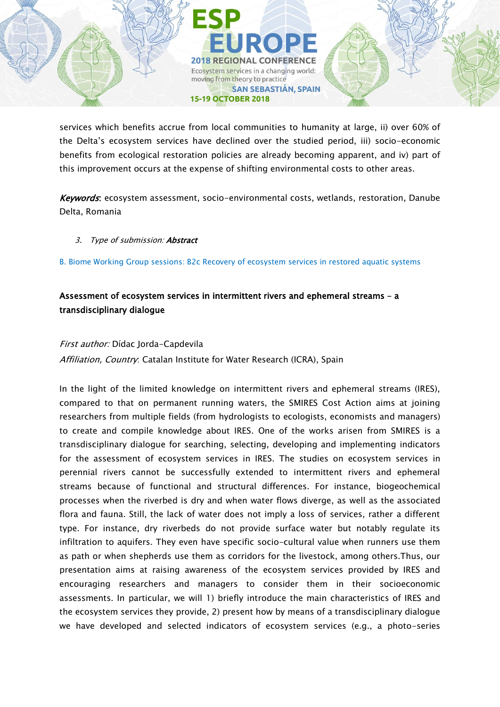services which benefits accrue from local communities to humanity at large, ii) over 60% of the Delta's ecosystem services have declined over the studied period, iii) socio-economic benefits from ecological restoration policies are already becoming apparent, and iv) part of this improvement occurs at the expense of shifting environmental costs to other areas.

**2018 REGIONAL CONFERENCE** Ecosystem services in a changing world:

**SAN SEBASTIÁN, SPAIN** 

moving from theory to practice

**15-19 OCTOBER 2018** 

Keywords: ecosystem assessment, socio-environmental costs, wetlands, restoration, Danube Delta, Romania

### 3. Type of submission: **Abstract**

B. Biome Working Group sessions: B2c Recovery of ecosystem services in restored aquatic systems

## Assessment of ecosystem services in intermittent rivers and ephemeral streams – a transdisciplinary dialogue

### First author: Dídac Jorda-Capdevila

Affiliation, Country: Catalan Institute for Water Research (ICRA), Spain

In the light of the limited knowledge on intermittent rivers and ephemeral streams (IRES), compared to that on permanent running waters, the SMIRES Cost Action aims at joining researchers from multiple fields (from hydrologists to ecologists, economists and managers) to create and compile knowledge about IRES. One of the works arisen from SMIRES is a transdisciplinary dialogue for searching, selecting, developing and implementing indicators for the assessment of ecosystem services in IRES. The studies on ecosystem services in perennial rivers cannot be successfully extended to intermittent rivers and ephemeral streams because of functional and structural differences. For instance, biogeochemical processes when the riverbed is dry and when water flows diverge, as well as the associated flora and fauna. Still, the lack of water does not imply a loss of services, rather a different type. For instance, dry riverbeds do not provide surface water but notably regulate its infiltration to aquifers. They even have specific socio-cultural value when runners use them as path or when shepherds use them as corridors for the livestock, among others.Thus, our presentation aims at raising awareness of the ecosystem services provided by IRES and encouraging researchers and managers to consider them in their socioeconomic assessments. In particular, we will 1) briefly introduce the main characteristics of IRES and the ecosystem services they provide, 2) present how by means of a transdisciplinary dialogue we have developed and selected indicators of ecosystem services (e.g., a photo-series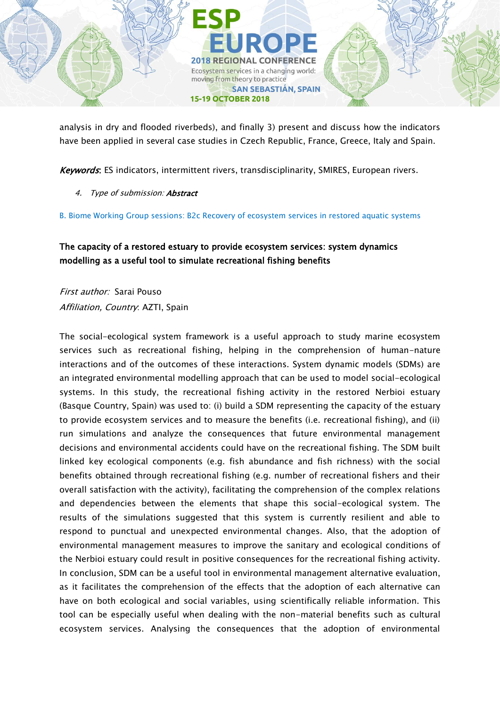

analysis in dry and flooded riverbeds), and finally 3) present and discuss how the indicators have been applied in several case studies in Czech Republic, France, Greece, Italy and Spain.

Keywords: ES indicators, intermittent rivers, transdisciplinarity, SMIRES, European rivers.

4. Type of submission: **Abstract** 

B. Biome Working Group sessions: B2c Recovery of ecosystem services in restored aquatic systems

## The capacity of a restored estuary to provide ecosystem services: system dynamics modelling as a useful tool to simulate recreational fishing benefits

First author: Sarai Pouso Affiliation, Country: AZTI, Spain

The social-ecological system framework is a useful approach to study marine ecosystem services such as recreational fishing, helping in the comprehension of human-nature interactions and of the outcomes of these interactions. System dynamic models (SDMs) are an integrated environmental modelling approach that can be used to model social-ecological systems. In this study, the recreational fishing activity in the restored Nerbioi estuary (Basque Country, Spain) was used to: (i) build a SDM representing the capacity of the estuary to provide ecosystem services and to measure the benefits (i.e. recreational fishing), and (ii) run simulations and analyze the consequences that future environmental management decisions and environmental accidents could have on the recreational fishing. The SDM built linked key ecological components (e.g. fish abundance and fish richness) with the social benefits obtained through recreational fishing (e.g. number of recreational fishers and their overall satisfaction with the activity), facilitating the comprehension of the complex relations and dependencies between the elements that shape this social-ecological system. The results of the simulations suggested that this system is currently resilient and able to respond to punctual and unexpected environmental changes. Also, that the adoption of environmental management measures to improve the sanitary and ecological conditions of the Nerbioi estuary could result in positive consequences for the recreational fishing activity. In conclusion, SDM can be a useful tool in environmental management alternative evaluation, as it facilitates the comprehension of the effects that the adoption of each alternative can have on both ecological and social variables, using scientifically reliable information. This tool can be especially useful when dealing with the non-material benefits such as cultural ecosystem services. Analysing the consequences that the adoption of environmental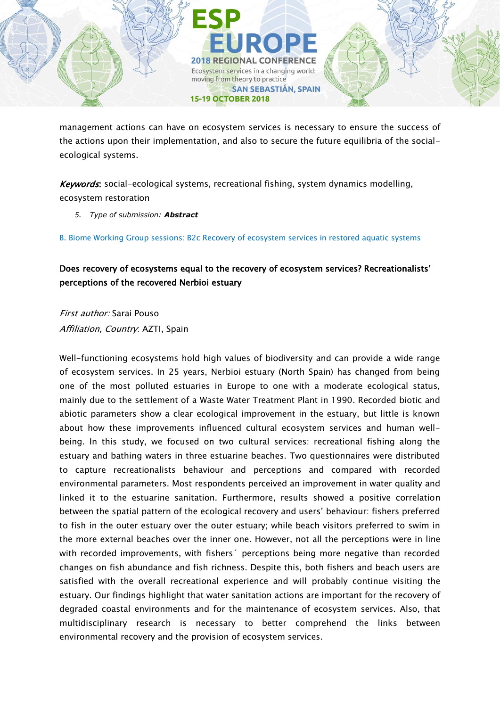

management actions can have on ecosystem services is necessary to ensure the success of the actions upon their implementation, and also to secure the future equilibria of the socialecological systems.

Keywords: social-ecological systems, recreational fishing, system dynamics modelling, ecosystem restoration

*5. Type of submission: Abstract*

B. Biome Working Group sessions: B2c Recovery of ecosystem services in restored aquatic systems

## Does recovery of ecosystems equal to the recovery of ecosystem services? Recreationalists' perceptions of the recovered Nerbioi estuary

First author: Sarai Pouso Affiliation, Country: AZTI, Spain

Well-functioning ecosystems hold high values of biodiversity and can provide a wide range of ecosystem services. In 25 years, Nerbioi estuary (North Spain) has changed from being one of the most polluted estuaries in Europe to one with a moderate ecological status, mainly due to the settlement of a Waste Water Treatment Plant in 1990. Recorded biotic and abiotic parameters show a clear ecological improvement in the estuary, but little is known about how these improvements influenced cultural ecosystem services and human wellbeing. In this study, we focused on two cultural services: recreational fishing along the estuary and bathing waters in three estuarine beaches. Two questionnaires were distributed to capture recreationalists behaviour and perceptions and compared with recorded environmental parameters. Most respondents perceived an improvement in water quality and linked it to the estuarine sanitation. Furthermore, results showed a positive correlation between the spatial pattern of the ecological recovery and users' behaviour: fishers preferred to fish in the outer estuary over the outer estuary; while beach visitors preferred to swim in the more external beaches over the inner one. However, not all the perceptions were in line with recorded improvements, with fishers´ perceptions being more negative than recorded changes on fish abundance and fish richness. Despite this, both fishers and beach users are satisfied with the overall recreational experience and will probably continue visiting the estuary. Our findings highlight that water sanitation actions are important for the recovery of degraded coastal environments and for the maintenance of ecosystem services. Also, that multidisciplinary research is necessary to better comprehend the links between environmental recovery and the provision of ecosystem services.